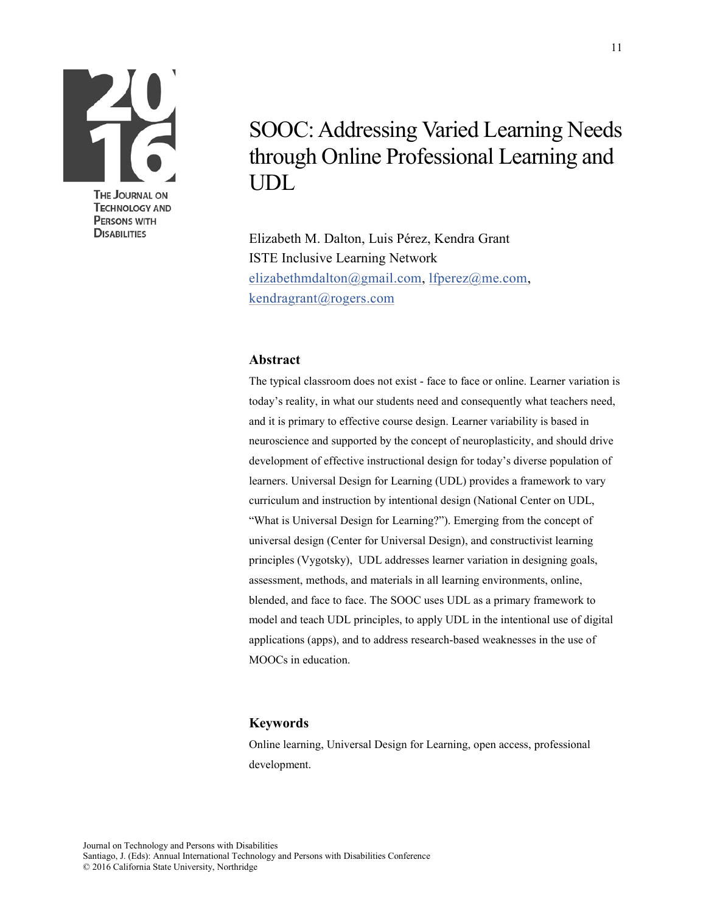

**DISABILITIES** 

# SOOC: Addressing Varied Learning Needs through Online Professional Learning and UDL

Elizabeth M. Dalton, Luis Pérez, Kendra Grant ISTE Inclusive Learning Network [elizabethmdalton@gmail.com,](mailto:elizabethmdalton@gmail.com) [lfperez@me.com,](mailto:lfperez@me.com) [kendragrant@rogers.com](mailto:kendragrant@rogers.com)

#### **Abstract**

The typical classroom does not exist - face to face or online. Learner variation is today's reality, in what our students need and consequently what teachers need, and it is primary to effective course design. Learner variability is based in neuroscience and supported by the concept of neuroplasticity, and should drive development of effective instructional design for today's diverse population of learners. Universal Design for Learning (UDL) provides a framework to vary curriculum and instruction by intentional design (National Center on UDL, "What is Universal Design for Learning?"). Emerging from the concept of universal design (Center for Universal Design), and constructivist learning principles (Vygotsky), UDL addresses learner variation in designing goals, assessment, methods, and materials in all learning environments, online, blended, and face to face. The SOOC uses UDL as a primary framework to model and teach UDL principles, to apply UDL in the intentional use of digital applications (apps), and to address research-based weaknesses in the use of MOOCs in education.

#### **Keywords**

Online learning, Universal Design for Learning, open access, professional development.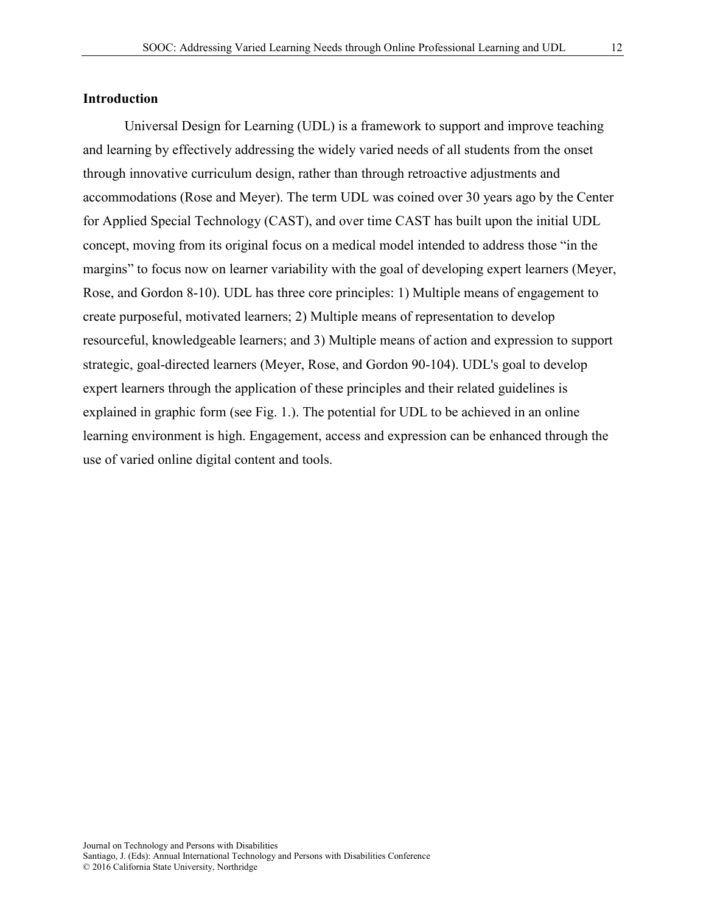Universal Design for Learning (UDL) is a framework to support and improve teaching and learning by effectively addressing the widely varied needs of all students from the onset through innovative curriculum design, rather than through retroactive adjustments and accommodations (Rose and Meyer). The term UDL was coined over 30 years ago by the Center for Applied Special Technology (CAST), and over time CAST has built upon the initial UDL concept, moving from its original focus on a medical model intended to address those "in the margins" to focus now on learner variability with the goal of developing expert learners (Meyer, Rose, and Gordon 8-10). UDL has three core principles: 1) Multiple means of engagement to create purposeful, motivated learners; 2) Multiple means of representation to develop resourceful, knowledgeable learners; and 3) Multiple means of action and expression to support strategic, goal-directed learners (Meyer, Rose, and Gordon 90-104). UDL's goal to develop expert learners through the application of these principles and their related guidelines is explained in graphic form (see Fig. 1.). The potential for UDL to be achieved in an online learning environment is high. Engagement, access and expression can be enhanced through the use of varied online digital content and tools.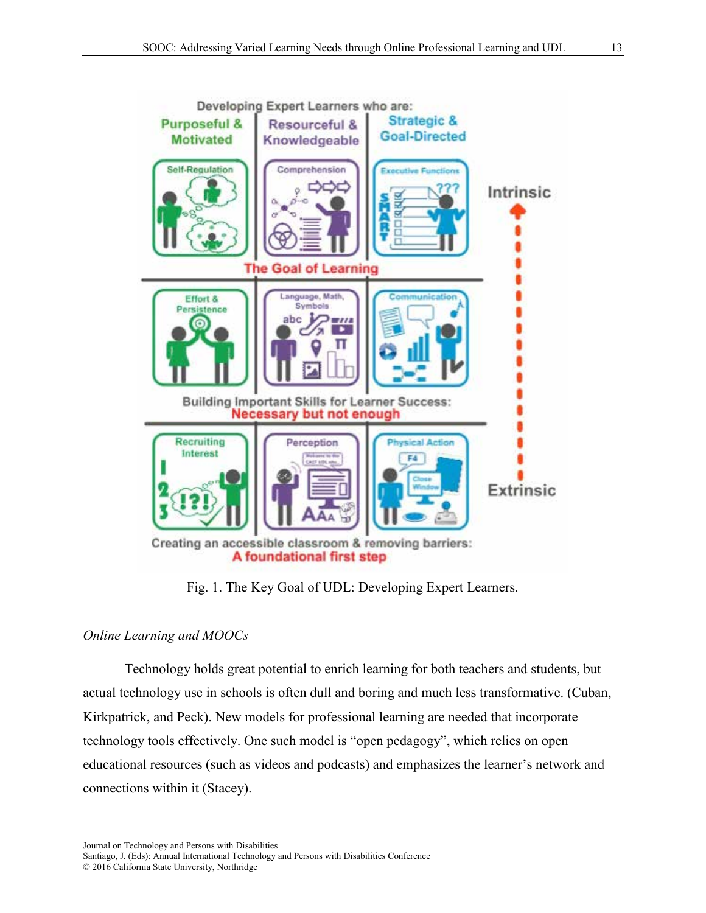

Fig. 1. The Key Goal of UDL: Developing Expert Learners.

# *Online Learning and MOOCs*

Technology holds great potential to enrich learning for both teachers and students, but actual technology use in schools is often dull and boring and much less transformative. (Cuban, Kirkpatrick, and Peck). New models for professional learning are needed that incorporate technology tools effectively. One such model is "open pedagogy", which relies on open educational resources (such as videos and podcasts) and emphasizes the learner's network and connections within it (Stacey).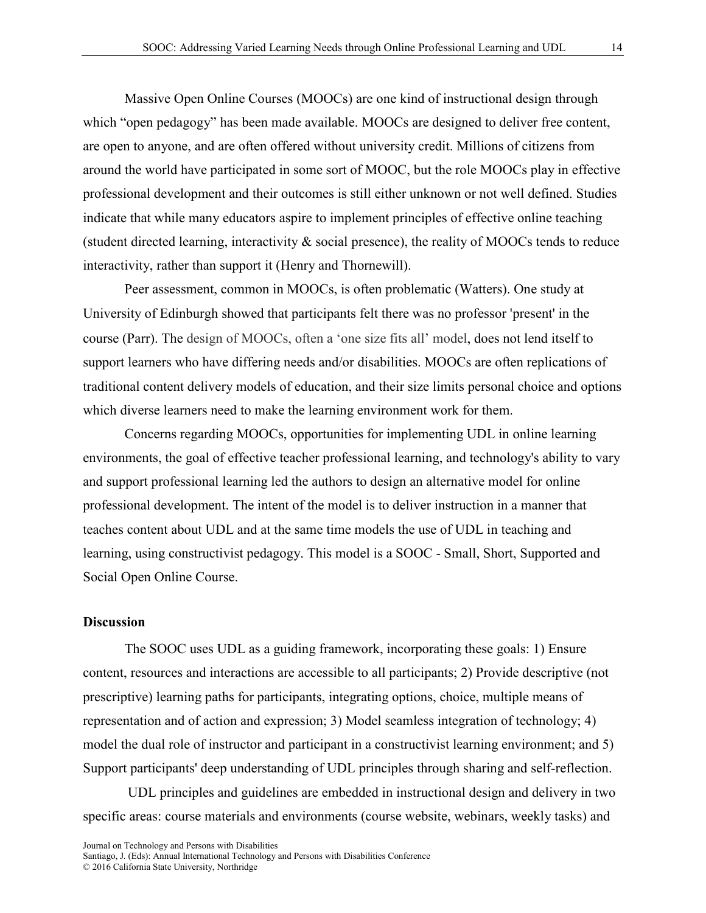Massive Open Online Courses (MOOCs) are one kind of instructional design through which "open pedagogy" has been made available. MOOCs are designed to deliver free content, are open to anyone, and are often offered without university credit. Millions of citizens from around the world have participated in some sort of MOOC, but the role MOOCs play in effective professional development and their outcomes is still either unknown or not well defined. Studies indicate that while many educators aspire to implement principles of effective online teaching (student directed learning, interactivity & social presence), the reality of MOOCs tends to reduce interactivity, rather than support it (Henry and Thornewill).

Peer assessment, common in MOOCs, is often problematic (Watters). One study at University of Edinburgh showed that participants felt there was no professor 'present' in the course (Parr). The design of MOOCs, often a 'one size fits all' model, does not lend itself to support learners who have differing needs and/or disabilities. MOOCs are often replications of traditional content delivery models of education, and their size limits personal choice and options which diverse learners need to make the learning environment work for them.

Concerns regarding MOOCs, opportunities for implementing UDL in online learning environments, the goal of effective teacher professional learning, and technology's ability to vary and support professional learning led the authors to design an alternative model for online professional development. The intent of the model is to deliver instruction in a manner that teaches content about UDL and at the same time models the use of UDL in teaching and learning, using constructivist pedagogy. This model is a SOOC - Small, Short, Supported and Social Open Online Course.

#### **Discussion**

The SOOC uses UDL as a guiding framework, incorporating these goals: 1) Ensure content, resources and interactions are accessible to all participants; 2) Provide descriptive (not prescriptive) learning paths for participants, integrating options, choice, multiple means of representation and of action and expression; 3) Model seamless integration of technology; 4) model the dual role of instructor and participant in a constructivist learning environment; and 5) Support participants' deep understanding of UDL principles through sharing and self-reflection.

 UDL principles and guidelines are embedded in instructional design and delivery in two specific areas: course materials and environments (course website, webinars, weekly tasks) and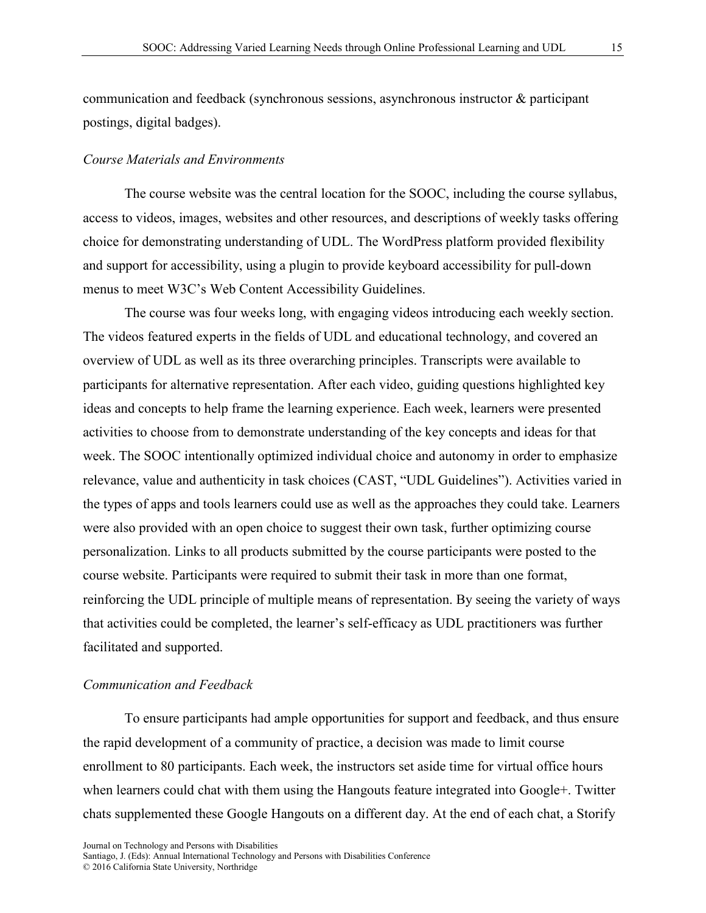communication and feedback (synchronous sessions, asynchronous instructor & participant postings, digital badges).

#### *Course Materials and Environments*

The course website was the central location for the SOOC, including the course syllabus, access to videos, images, websites and other resources, and descriptions of weekly tasks offering choice for demonstrating understanding of UDL. The WordPress platform provided flexibility and support for accessibility, using a plugin to provide keyboard accessibility for pull-down menus to meet W3C's Web Content Accessibility Guidelines.

The course was four weeks long, with engaging videos introducing each weekly section. The videos featured experts in the fields of UDL and educational technology, and covered an overview of UDL as well as its three overarching principles. Transcripts were available to participants for alternative representation. After each video, guiding questions highlighted key ideas and concepts to help frame the learning experience. Each week, learners were presented activities to choose from to demonstrate understanding of the key concepts and ideas for that week. The SOOC intentionally optimized individual choice and autonomy in order to emphasize relevance, value and authenticity in task choices (CAST, "UDL Guidelines"). Activities varied in the types of apps and tools learners could use as well as the approaches they could take. Learners were also provided with an open choice to suggest their own task, further optimizing course personalization. Links to all products submitted by the course participants were posted to the course website. Participants were required to submit their task in more than one format, reinforcing the UDL principle of multiple means of representation. By seeing the variety of ways that activities could be completed, the learner's self-efficacy as UDL practitioners was further facilitated and supported.

### *Communication and Feedback*

To ensure participants had ample opportunities for support and feedback, and thus ensure the rapid development of a community of practice, a decision was made to limit course enrollment to 80 participants. Each week, the instructors set aside time for virtual office hours when learners could chat with them using the Hangouts feature integrated into Google+. Twitter chats supplemented these Google Hangouts on a different day. At the end of each chat, a Storify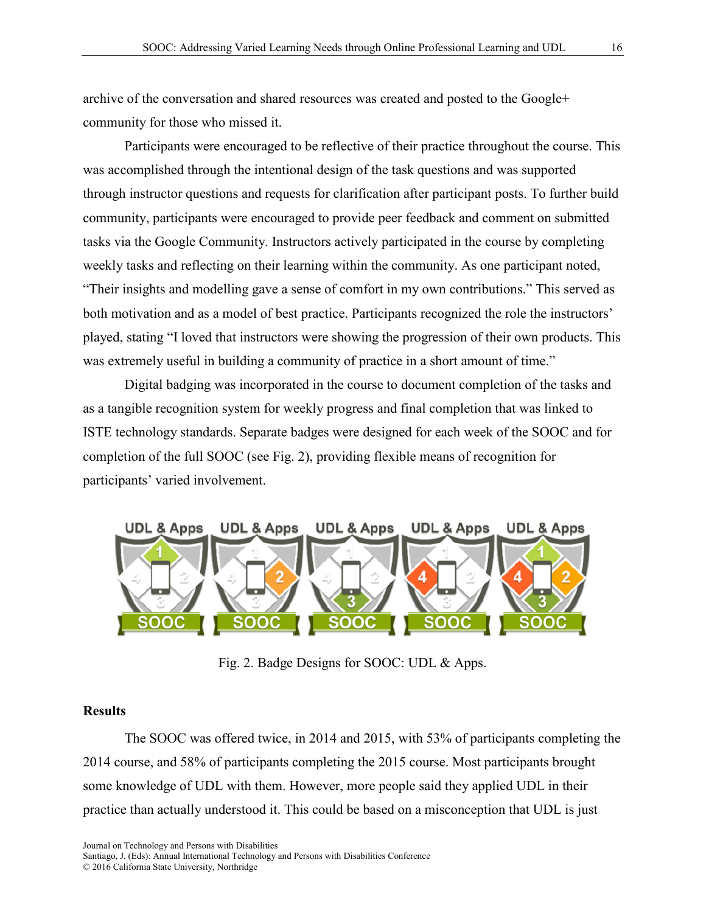archive of the conversation and shared resources was created and posted to the Google+ community for those who missed it.

Participants were encouraged to be reflective of their practice throughout the course. This was accomplished through the intentional design of the task questions and was supported through instructor questions and requests for clarification after participant posts. To further build community, participants were encouraged to provide peer feedback and comment on submitted tasks via the Google Community. Instructors actively participated in the course by completing weekly tasks and reflecting on their learning within the community. As one participant noted, "Their insights and modelling gave a sense of comfort in my own contributions." This served as both motivation and as a model of best practice. Participants recognized the role the instructors' played, stating "I loved that instructors were showing the progression of their own products. This was extremely useful in building a community of practice in a short amount of time."

Digital badging was incorporated in the course to document completion of the tasks and as a tangible recognition system for weekly progress and final completion that was linked to ISTE technology standards. Separate badges were designed for each week of the SOOC and for completion of the full SOOC (see Fig. 2), providing flexible means of recognition for participants' varied involvement.



Fig. 2. Badge Designs for SOOC: UDL & Apps.

## **Results**

The SOOC was offered twice, in 2014 and 2015, with 53% of participants completing the 2014 course, and 58% of participants completing the 2015 course. Most participants brought some knowledge of UDL with them. However, more people said they applied UDL in their practice than actually understood it. This could be based on a misconception that UDL is just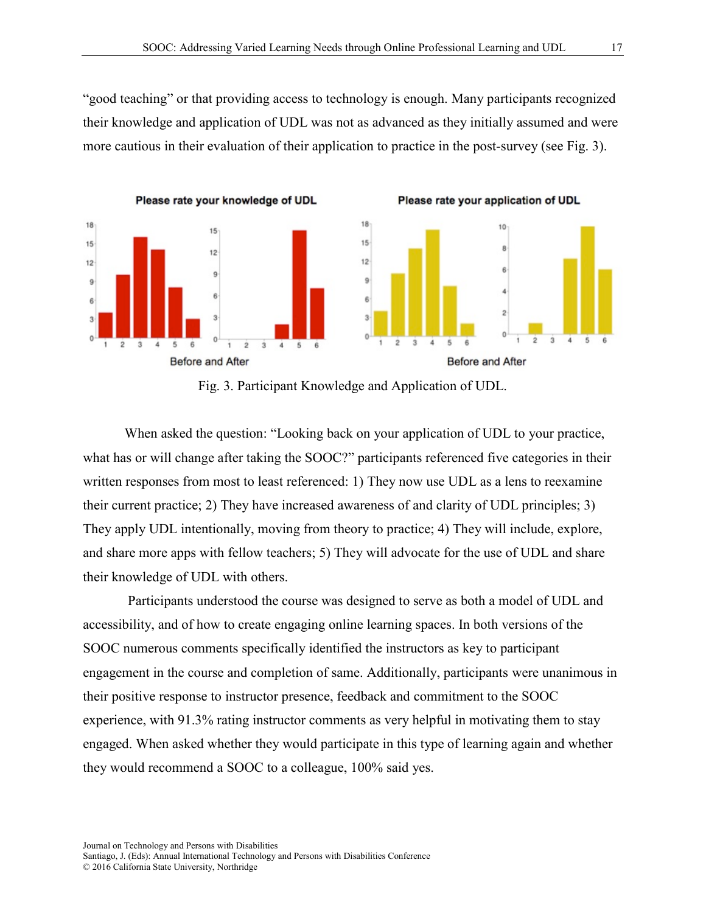"good teaching" or that providing access to technology is enough. Many participants recognized their knowledge and application of UDL was not as advanced as they initially assumed and were more cautious in their evaluation of their application to practice in the post-survey (see Fig. 3).



Fig. 3. Participant Knowledge and Application of UDL.

When asked the question: "Looking back on your application of UDL to your practice, what has or will change after taking the SOOC?" participants referenced five categories in their written responses from most to least referenced: 1) They now use UDL as a lens to reexamine their current practice; 2) They have increased awareness of and clarity of UDL principles; 3) They apply UDL intentionally, moving from theory to practice; 4) They will include, explore, and share more apps with fellow teachers; 5) They will advocate for the use of UDL and share their knowledge of UDL with others.

 Participants understood the course was designed to serve as both a model of UDL and accessibility, and of how to create engaging online learning spaces. In both versions of the SOOC numerous comments specifically identified the instructors as key to participant engagement in the course and completion of same. Additionally, participants were unanimous in their positive response to instructor presence, feedback and commitment to the SOOC experience, with 91.3% rating instructor comments as very helpful in motivating them to stay engaged. When asked whether they would participate in this type of learning again and whether they would recommend a SOOC to a colleague, 100% said yes.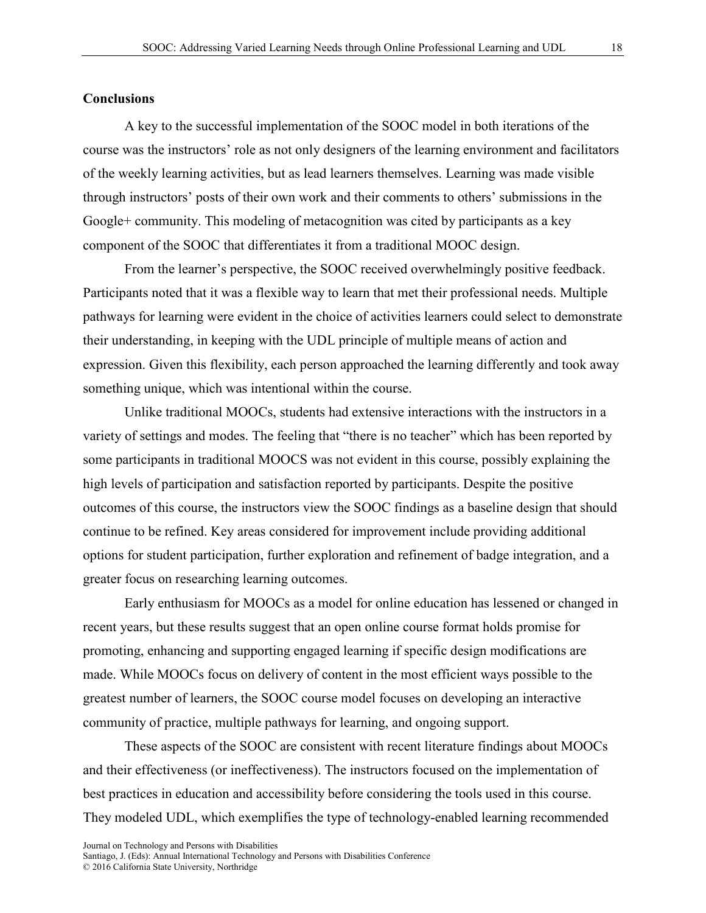### **Conclusions**

A key to the successful implementation of the SOOC model in both iterations of the course was the instructors' role as not only designers of the learning environment and facilitators of the weekly learning activities, but as lead learners themselves. Learning was made visible through instructors' posts of their own work and their comments to others' submissions in the Google+ community. This modeling of metacognition was cited by participants as a key component of the SOOC that differentiates it from a traditional MOOC design.

From the learner's perspective, the SOOC received overwhelmingly positive feedback. Participants noted that it was a flexible way to learn that met their professional needs. Multiple pathways for learning were evident in the choice of activities learners could select to demonstrate their understanding, in keeping with the UDL principle of multiple means of action and expression. Given this flexibility, each person approached the learning differently and took away something unique, which was intentional within the course.

Unlike traditional MOOCs, students had extensive interactions with the instructors in a variety of settings and modes. The feeling that "there is no teacher" which has been reported by some participants in traditional MOOCS was not evident in this course, possibly explaining the high levels of participation and satisfaction reported by participants. Despite the positive outcomes of this course, the instructors view the SOOC findings as a baseline design that should continue to be refined. Key areas considered for improvement include providing additional options for student participation, further exploration and refinement of badge integration, and a greater focus on researching learning outcomes.

Early enthusiasm for MOOCs as a model for online education has lessened or changed in recent years, but these results suggest that an open online course format holds promise for promoting, enhancing and supporting engaged learning if specific design modifications are made. While MOOCs focus on delivery of content in the most efficient ways possible to the greatest number of learners, the SOOC course model focuses on developing an interactive community of practice, multiple pathways for learning, and ongoing support.

These aspects of the SOOC are consistent with recent literature findings about MOOCs and their effectiveness (or ineffectiveness). The instructors focused on the implementation of best practices in education and accessibility before considering the tools used in this course. They modeled UDL, which exemplifies the type of technology-enabled learning recommended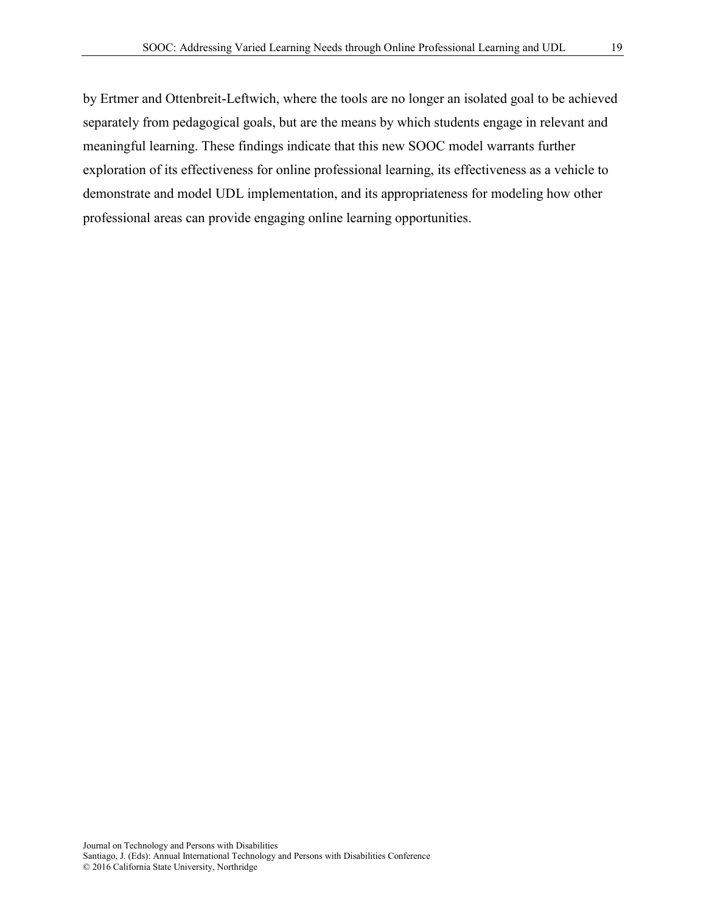by Ertmer and Ottenbreit-Leftwich, where the tools are no longer an isolated goal to be achieved separately from pedagogical goals, but are the means by which students engage in relevant and meaningful learning. These findings indicate that this new SOOC model warrants further exploration of its effectiveness for online professional learning, its effectiveness as a vehicle to demonstrate and model UDL implementation, and its appropriateness for modeling how other professional areas can provide engaging online learning opportunities.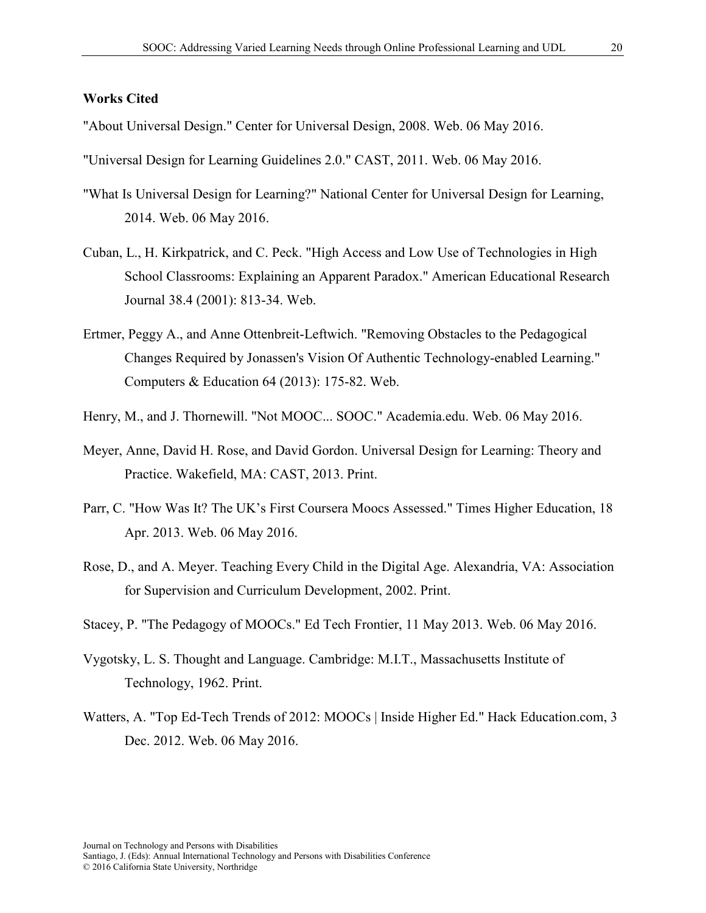### **Works Cited**

"About Universal Design." Center for Universal Design, 2008. Web. 06 May 2016.

"Universal Design for Learning Guidelines 2.0." CAST, 2011. Web. 06 May 2016.

- "What Is Universal Design for Learning?" National Center for Universal Design for Learning, 2014. Web. 06 May 2016.
- Cuban, L., H. Kirkpatrick, and C. Peck. "High Access and Low Use of Technologies in High School Classrooms: Explaining an Apparent Paradox." American Educational Research Journal 38.4 (2001): 813-34. Web.
- Ertmer, Peggy A., and Anne Ottenbreit-Leftwich. "Removing Obstacles to the Pedagogical Changes Required by Jonassen's Vision Of Authentic Technology-enabled Learning." Computers & Education 64 (2013): 175-82. Web.
- Henry, M., and J. Thornewill. "Not MOOC... SOOC." Academia.edu. Web. 06 May 2016.
- Meyer, Anne, David H. Rose, and David Gordon. Universal Design for Learning: Theory and Practice. Wakefield, MA: CAST, 2013. Print.
- Parr, C. "How Was It? The UK's First Coursera Moocs Assessed." Times Higher Education, 18 Apr. 2013. Web. 06 May 2016.
- Rose, D., and A. Meyer. Teaching Every Child in the Digital Age. Alexandria, VA: Association for Supervision and Curriculum Development, 2002. Print.
- Stacey, P. "The Pedagogy of MOOCs." Ed Tech Frontier, 11 May 2013. Web. 06 May 2016.
- Vygotsky, L. S. Thought and Language. Cambridge: M.I.T., Massachusetts Institute of Technology, 1962. Print.
- Watters, A. "Top Ed-Tech Trends of 2012: MOOCs | Inside Higher Ed." Hack Education.com, 3 Dec. 2012. Web. 06 May 2016.